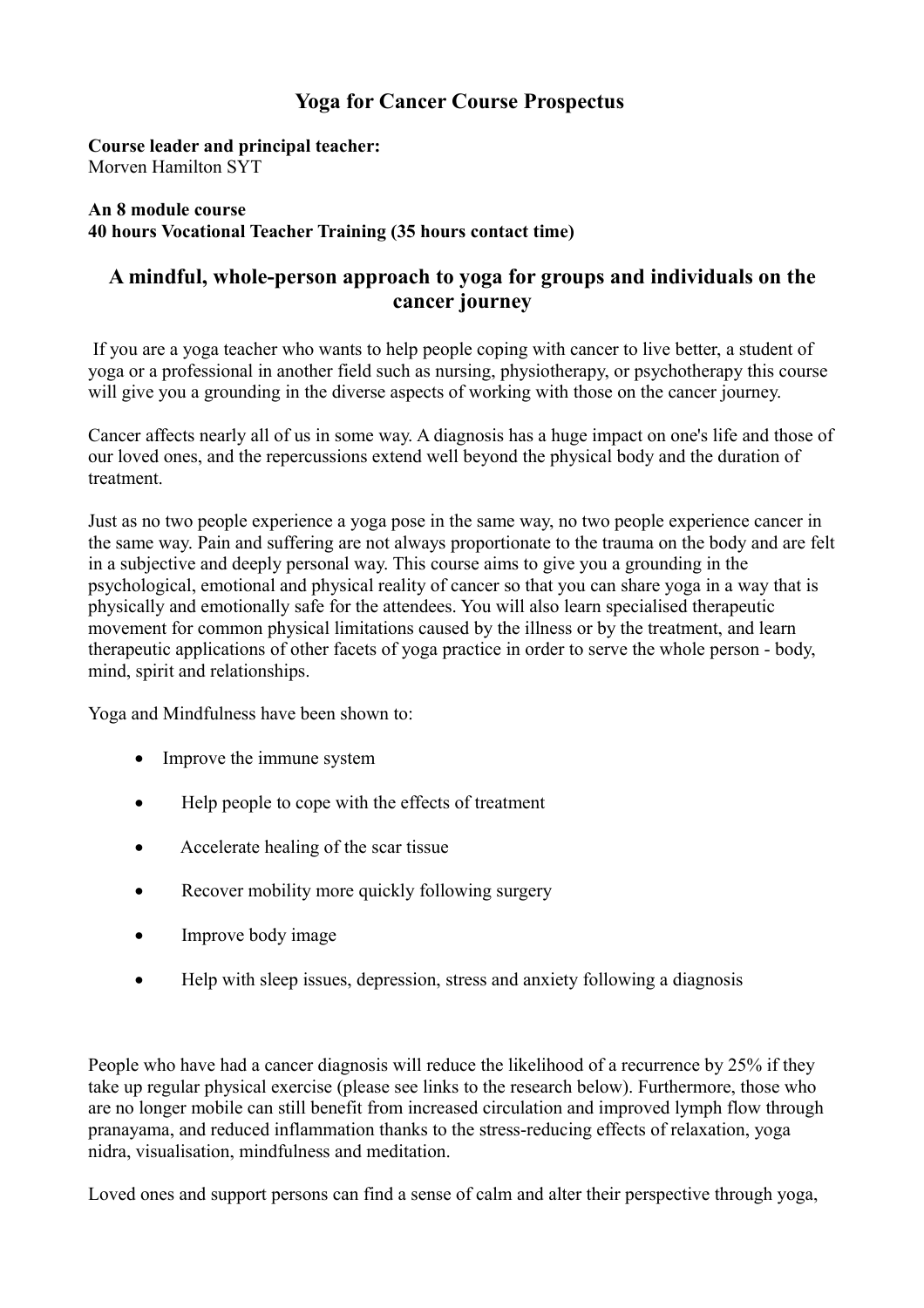# **Yoga for Cancer Course Prospectus**

**Course leader and principal teacher:** Morven Hamilton SYT

### **An 8 module course 40 hours Vocational Teacher Training (35 hours contact time)**

# **A mindful, whole-person approach to yoga for groups and individuals on the cancer journey**

 If you are a yoga teacher who wants to help people coping with cancer to live better, a student of yoga or a professional in another field such as nursing, physiotherapy, or psychotherapy this course will give you a grounding in the diverse aspects of working with those on the cancer journey.

Cancer affects nearly all of us in some way. A diagnosis has a huge impact on one's life and those of our loved ones, and the repercussions extend well beyond the physical body and the duration of treatment.

Just as no two people experience a yoga pose in the same way, no two people experience cancer in the same way. Pain and suffering are not always proportionate to the trauma on the body and are felt in a subjective and deeply personal way. This course aims to give you a grounding in the psychological, emotional and physical reality of cancer so that you can share yoga in a way that is physically and emotionally safe for the attendees. You will also learn specialised therapeutic movement for common physical limitations caused by the illness or by the treatment, and learn therapeutic applications of other facets of yoga practice in order to serve the whole person - body, mind, spirit and relationships.

Yoga and Mindfulness have been shown to:

- Improve the immune system
- Help people to cope with the effects of treatment
- Accelerate healing of the scar tissue
- Recover mobility more quickly following surgery
- Improve body image
- Help with sleep issues, depression, stress and anxiety following a diagnosis

People who have had a cancer diagnosis will reduce the likelihood of a recurrence by 25% if they take up regular physical exercise (please see links to the research below). Furthermore, those who are no longer mobile can still benefit from increased circulation and improved lymph flow through pranayama, and reduced inflammation thanks to the stress-reducing effects of relaxation, yoga nidra, visualisation, mindfulness and meditation.

Loved ones and support persons can find a sense of calm and alter their perspective through yoga,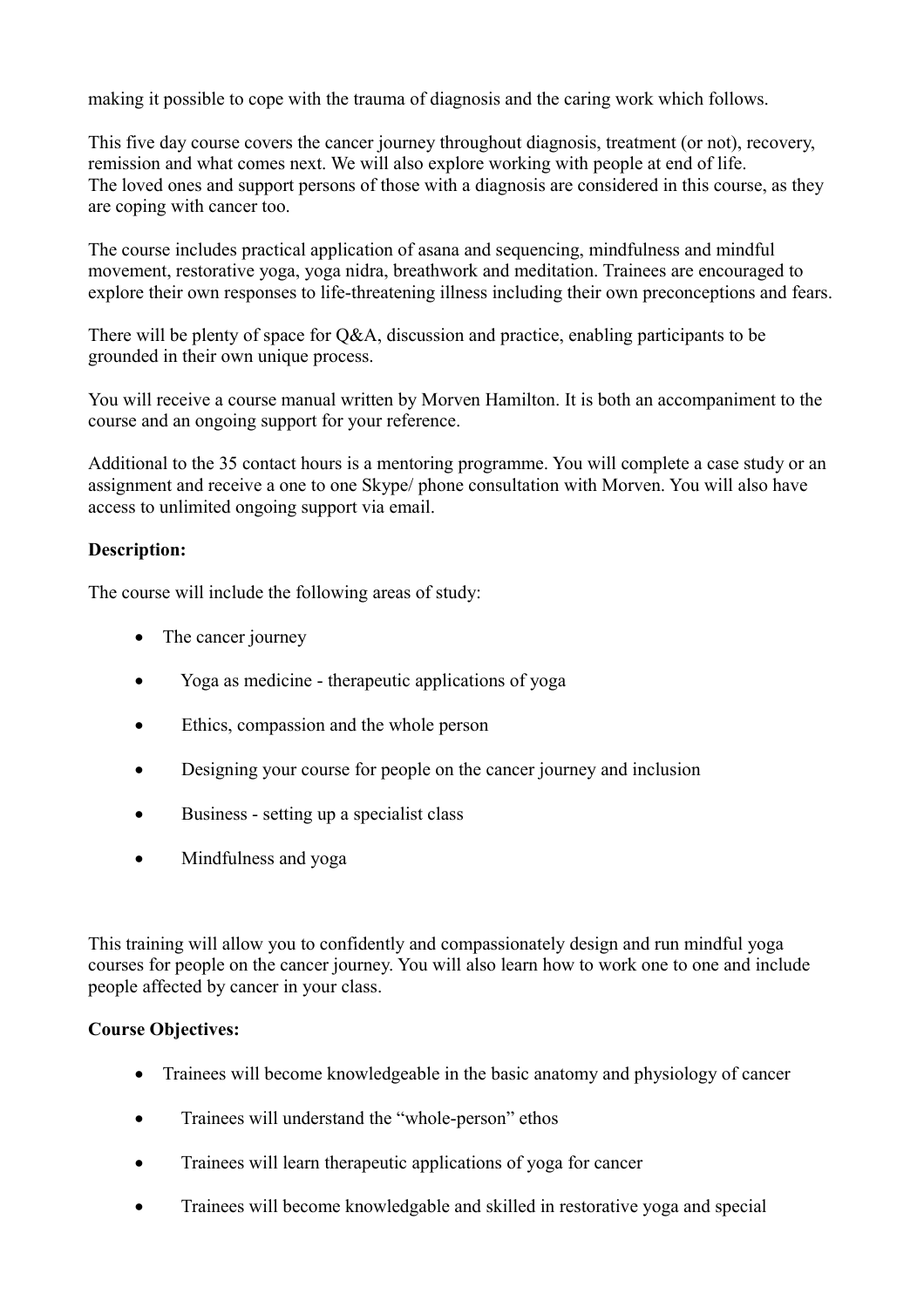making it possible to cope with the trauma of diagnosis and the caring work which follows.

This five day course covers the cancer journey throughout diagnosis, treatment (or not), recovery, remission and what comes next. We will also explore working with people at end of life. The loved ones and support persons of those with a diagnosis are considered in this course, as they are coping with cancer too.

The course includes practical application of asana and sequencing, mindfulness and mindful movement, restorative yoga, yoga nidra, breathwork and meditation. Trainees are encouraged to explore their own responses to life-threatening illness including their own preconceptions and fears.

There will be plenty of space for Q&A, discussion and practice, enabling participants to be grounded in their own unique process.

You will receive a course manual written by Morven Hamilton. It is both an accompaniment to the course and an ongoing support for your reference.

Additional to the 35 contact hours is a mentoring programme. You will complete a case study or an assignment and receive a one to one Skype/ phone consultation with Morven. You will also have access to unlimited ongoing support via email.

## **Description:**

The course will include the following areas of study:

- The cancer journey
- Yoga as medicine therapeutic applications of yoga
- Ethics, compassion and the whole person
- Designing your course for people on the cancer journey and inclusion
- Business setting up a specialist class
- Mindfulness and yoga

This training will allow you to confidently and compassionately design and run mindful yoga courses for people on the cancer journey. You will also learn how to work one to one and include people affected by cancer in your class.

# **Course Objectives:**

- Trainees will become knowledgeable in the basic anatomy and physiology of cancer
- Trainees will understand the "whole-person" ethos
- Trainees will learn therapeutic applications of yoga for cancer
- Trainees will become knowledgable and skilled in restorative yoga and special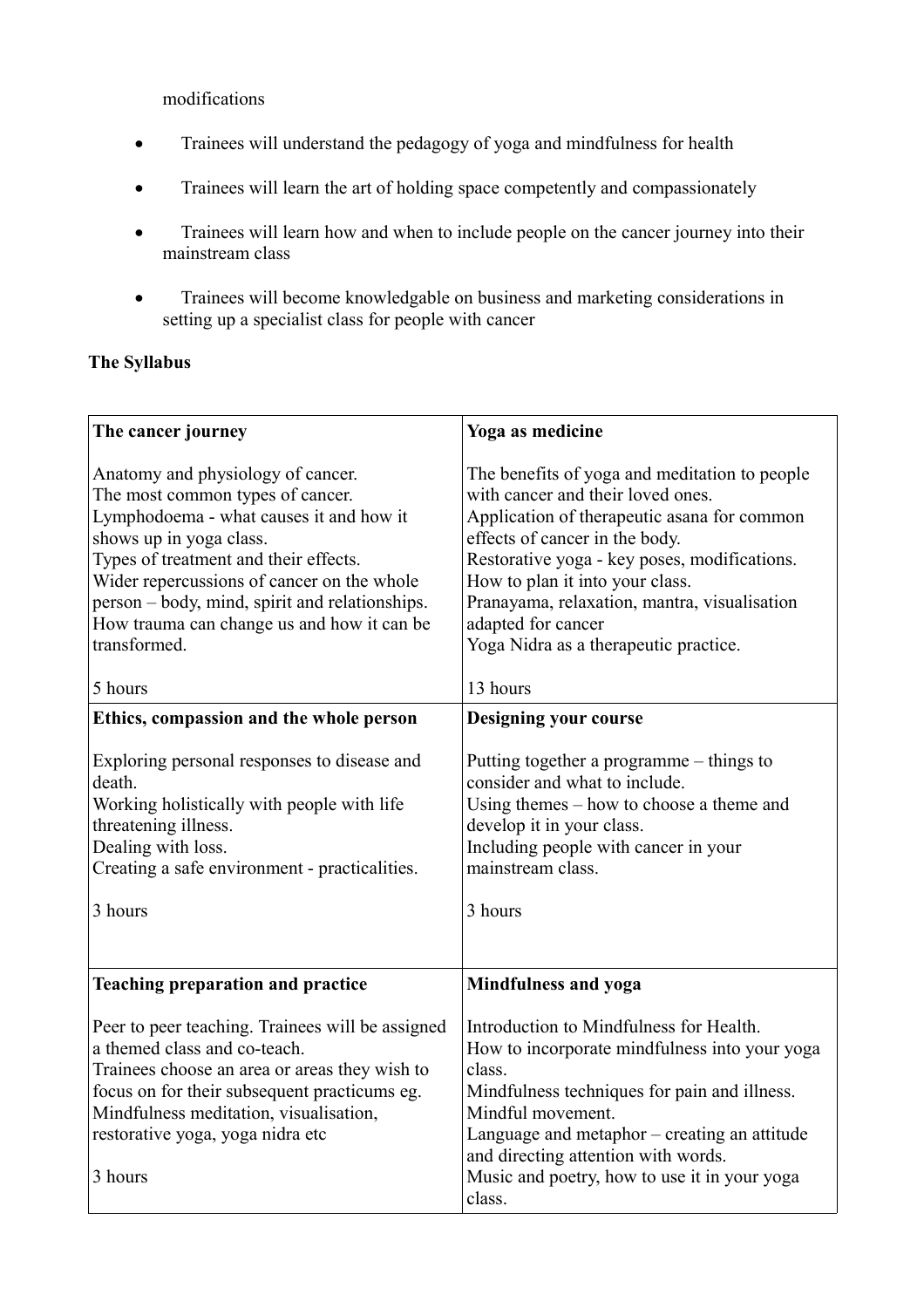modifications

- Trainees will understand the pedagogy of yoga and mindfulness for health
- Trainees will learn the art of holding space competently and compassionately
- Trainees will learn how and when to include people on the cancer journey into their mainstream class
- Trainees will become knowledgable on business and marketing considerations in setting up a specialist class for people with cancer

## **The Syllabus**

| The cancer journey                                                                                                                                                                                                                                                                                                                                 | Yoga as medicine                                                                                                                                                                                                                                                                                                                                                      |
|----------------------------------------------------------------------------------------------------------------------------------------------------------------------------------------------------------------------------------------------------------------------------------------------------------------------------------------------------|-----------------------------------------------------------------------------------------------------------------------------------------------------------------------------------------------------------------------------------------------------------------------------------------------------------------------------------------------------------------------|
| Anatomy and physiology of cancer.<br>The most common types of cancer.<br>Lymphodoema - what causes it and how it<br>shows up in yoga class.<br>Types of treatment and their effects.<br>Wider repercussions of cancer on the whole<br>person - body, mind, spirit and relationships.<br>How trauma can change us and how it can be<br>transformed. | The benefits of yoga and meditation to people<br>with cancer and their loved ones.<br>Application of therapeutic asana for common<br>effects of cancer in the body.<br>Restorative yoga - key poses, modifications.<br>How to plan it into your class.<br>Pranayama, relaxation, mantra, visualisation<br>adapted for cancer<br>Yoga Nidra as a therapeutic practice. |
| 5 hours                                                                                                                                                                                                                                                                                                                                            | 13 hours                                                                                                                                                                                                                                                                                                                                                              |
| Ethics, compassion and the whole person                                                                                                                                                                                                                                                                                                            | <b>Designing your course</b>                                                                                                                                                                                                                                                                                                                                          |
| Exploring personal responses to disease and<br>death.<br>Working holistically with people with life<br>threatening illness.<br>Dealing with loss.<br>Creating a safe environment - practicalities.<br>3 hours                                                                                                                                      | Putting together a programme $-$ things to<br>consider and what to include.<br>Using themes $-$ how to choose a theme and<br>develop it in your class.<br>Including people with cancer in your<br>mainstream class.<br>3 hours                                                                                                                                        |
| <b>Teaching preparation and practice</b>                                                                                                                                                                                                                                                                                                           | Mindfulness and yoga                                                                                                                                                                                                                                                                                                                                                  |
| Peer to peer teaching. Trainees will be assigned<br>a themed class and co-teach.<br>Trainees choose an area or areas they wish to<br>focus on for their subsequent practicums eg.<br>Mindfulness meditation, visualisation,<br>restorative yoga, yoga nidra etc<br>3 hours                                                                         | Introduction to Mindfulness for Health.<br>How to incorporate mindfulness into your yoga<br>class.<br>Mindfulness techniques for pain and illness.<br>Mindful movement.<br>Language and metaphor – creating an attitude<br>and directing attention with words.<br>Music and poetry, how to use it in your yoga<br>class.                                              |